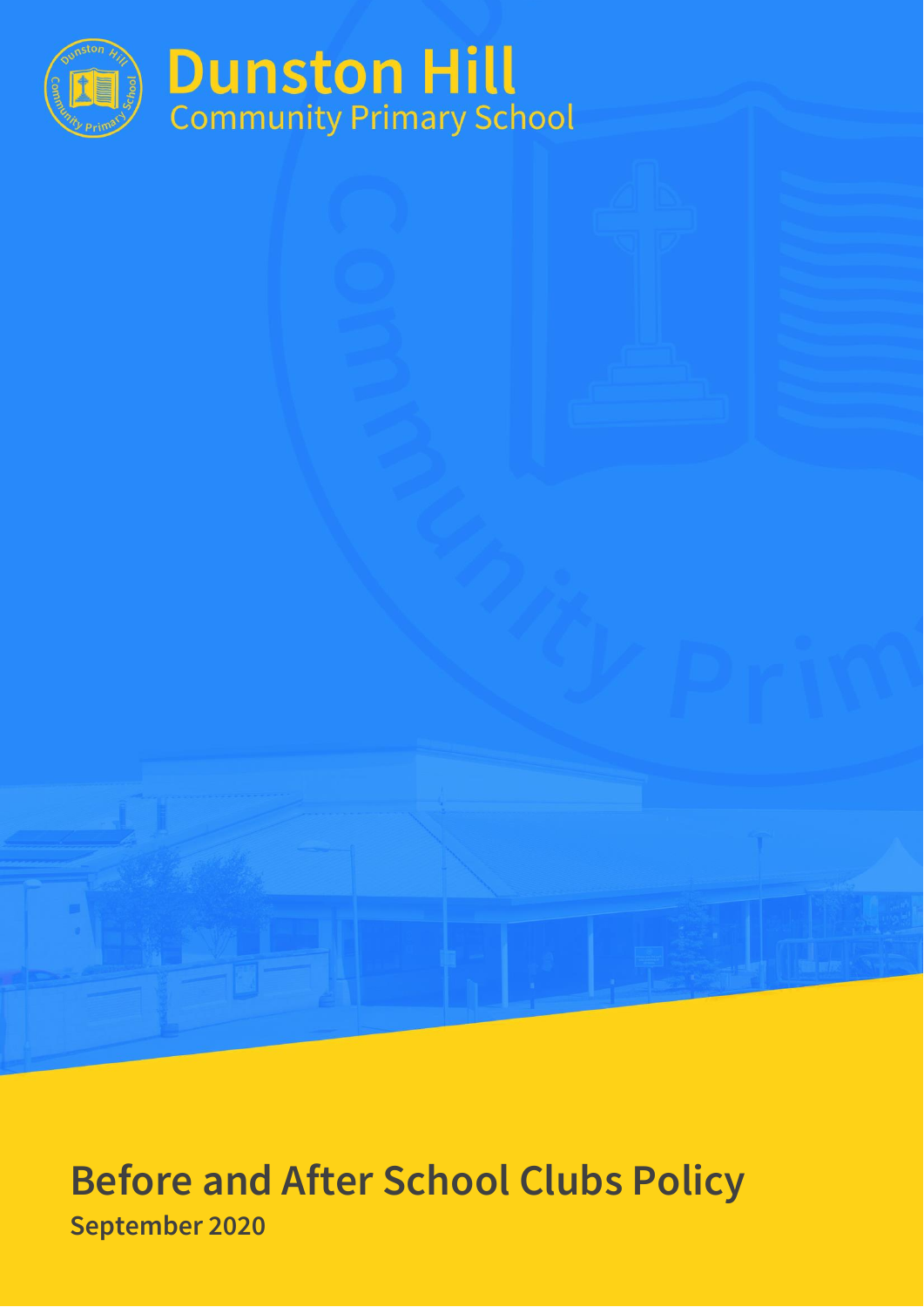

# **Before and After School Clubs Policy September 2020**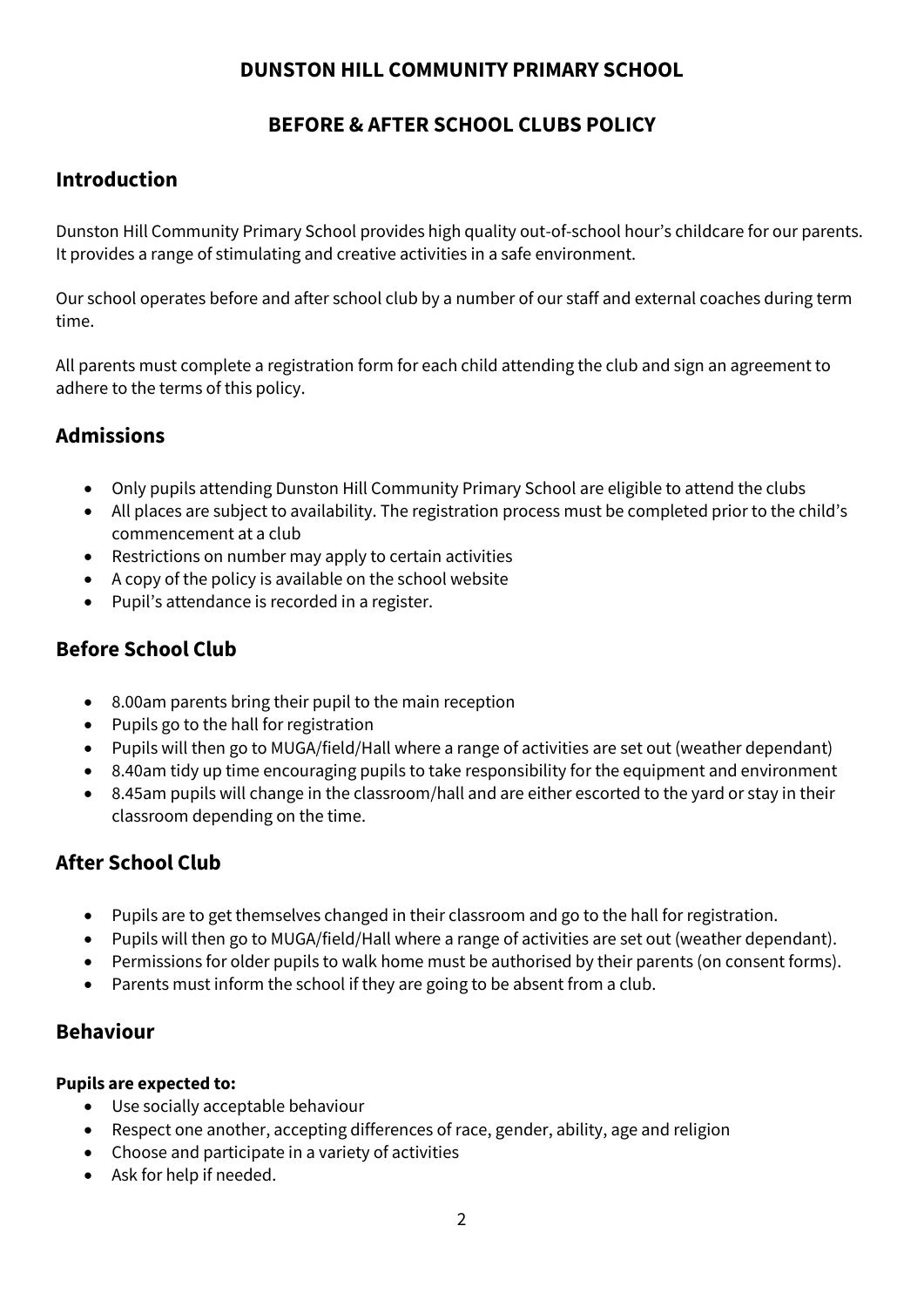### **DUNSTON HILL COMMUNITY PRIMARY SCHOOL**

## **BEFORE & AFTER SCHOOL CLUBS POLICY**

## **Introduction**

Dunston Hill Community Primary School provides high quality out-of-school hour's childcare for our parents. It provides a range of stimulating and creative activities in a safe environment.

Our school operates before and after school club by a number of our staff and external coaches during term time.

All parents must complete a registration form for each child attending the club and sign an agreement to adhere to the terms of this policy.

# **Admissions**

- Only pupils attending Dunston Hill Community Primary School are eligible to attend the clubs
- All places are subject to availability. The registration process must be completed prior to the child's commencement at a club
- Restrictions on number may apply to certain activities
- A copy of the policy is available on the school website
- Pupil's attendance is recorded in a register.

# **Before School Club**

- 8.00am parents bring their pupil to the main reception
- Pupils go to the hall for registration
- Pupils will then go to MUGA/field/Hall where a range of activities are set out (weather dependant)
- 8.40am tidy up time encouraging pupils to take responsibility for the equipment and environment
- 8.45am pupils will change in the classroom/hall and are either escorted to the yard or stay in their classroom depending on the time.

# **After School Club**

- Pupils are to get themselves changed in their classroom and go to the hall for registration.
- Pupils will then go to MUGA/field/Hall where a range of activities are set out (weather dependant).
- Permissions for older pupils to walk home must be authorised by their parents (on consent forms).
- Parents must inform the school if they are going to be absent from a club.

## **Behaviour**

#### **Pupils are expected to:**

- Use socially acceptable behaviour
- Respect one another, accepting differences of race, gender, ability, age and religion
- Choose and participate in a variety of activities
- Ask for help if needed.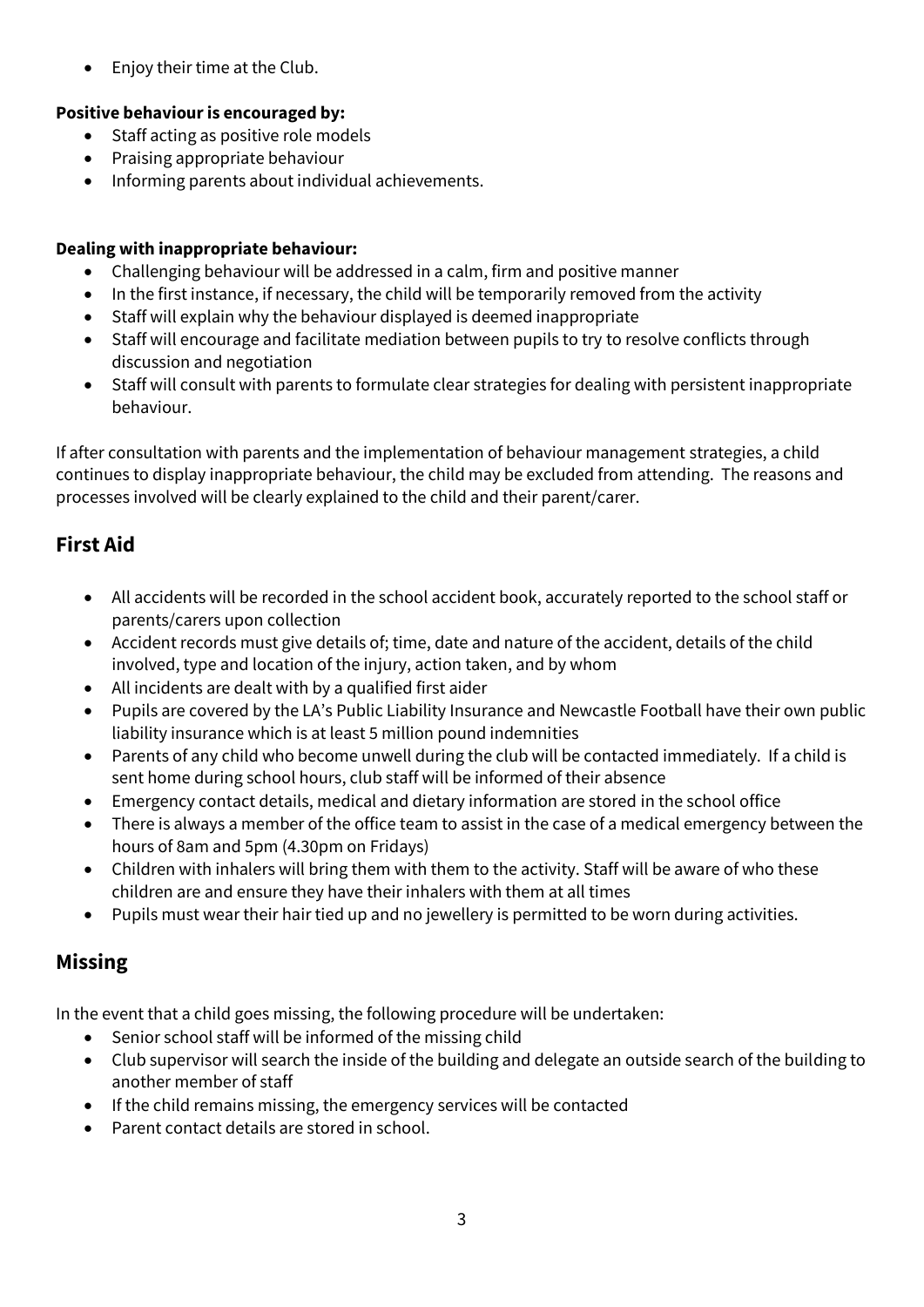• Enjoy their time at the Club.

#### **Positive behaviour is encouraged by:**

- Staff acting as positive role models
- Praising appropriate behaviour
- Informing parents about individual achievements.

#### **Dealing with inappropriate behaviour:**

- Challenging behaviour will be addressed in a calm, firm and positive manner
- In the first instance, if necessary, the child will be temporarily removed from the activity
- Staff will explain why the behaviour displayed is deemed inappropriate
- Staff will encourage and facilitate mediation between pupils to try to resolve conflicts through discussion and negotiation
- Staff will consult with parents to formulate clear strategies for dealing with persistent inappropriate behaviour.

If after consultation with parents and the implementation of behaviour management strategies, a child continues to display inappropriate behaviour, the child may be excluded from attending. The reasons and processes involved will be clearly explained to the child and their parent/carer.

# **First Aid**

- All accidents will be recorded in the school accident book, accurately reported to the school staff or parents/carers upon collection
- Accident records must give details of; time, date and nature of the accident, details of the child involved, type and location of the injury, action taken, and by whom
- All incidents are dealt with by a qualified first aider
- Pupils are covered by the LA's Public Liability Insurance and Newcastle Football have their own public liability insurance which is at least 5 million pound indemnities
- Parents of any child who become unwell during the club will be contacted immediately. If a child is sent home during school hours, club staff will be informed of their absence
- Emergency contact details, medical and dietary information are stored in the school office
- There is always a member of the office team to assist in the case of a medical emergency between the hours of 8am and 5pm (4.30pm on Fridays)
- Children with inhalers will bring them with them to the activity. Staff will be aware of who these children are and ensure they have their inhalers with them at all times
- Pupils must wear their hair tied up and no jewellery is permitted to be worn during activities.

# **Missing**

In the event that a child goes missing, the following procedure will be undertaken:

- Senior school staff will be informed of the missing child
- Club supervisor will search the inside of the building and delegate an outside search of the building to another member of staff
- If the child remains missing, the emergency services will be contacted
- Parent contact details are stored in school.